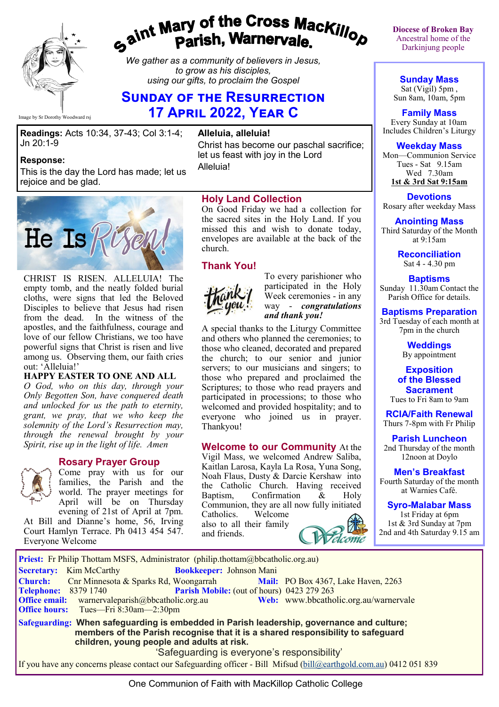

# gaint Mary of the Cross Mackillop<br>gaint Parish, Warnervale.

*We gather as a community of believers in Jesus, to grow as his disciples, using our gifts, to proclaim the Gospel*

#### **Sunday of the Resurrection 17 April 2022, Year C**

Image by Sr Dorothy Woodward rsj

**Readings:** Acts 10:34, 37-43; Col 3:1-4; Jn 20:1-9

#### **Response:**

This is the day the Lord has made; let us rejoice and be glad.

# He Is $K\ell$

CHRIST IS RISEN. ALLELUIA! The empty tomb, and the neatly folded burial cloths, were signs that led the Beloved Disciples to believe that Jesus had risen from the dead. In the witness of the apostles, and the faithfulness, courage and love of our fellow Christians, we too have powerful signs that Christ is risen and live among us. Observing them, our faith cries out: 'Alleluia!'

#### **HAPPY EASTER TO ONE AND ALL**

*O God, who on this day, through your Only Begotten Son, have conquered death and unlocked for us the path to eternity, grant, we pray, that we who keep the solemnity of the Lord's Resurrection may, through the renewal brought by your Spirit, rise up in the light of life. Amen* 

#### **Rosary Prayer Group**



Come pray with us for our families, the Parish and the world. The prayer meetings for April will be on Thursday evening of 21st of April at 7pm.

At Bill and Dianne's home, 56, Irving Court Hamlyn Terrace. Ph 0413 454 547. Everyone Welcome

#### **Alleluia, alleluia!**

Christ has become our paschal sacrifice; let us feast with joy in the Lord Alleluia!

#### **Holy Land Collection**

On Good Friday we had a collection for the sacred sites in the Holy Land. If you missed this and wish to donate today, envelopes are available at the back of the church.

#### **Thank You!**



To every parishioner who participated in the Holy Week ceremonies - in any way - *congratulations and thank you!*

A special thanks to the Liturgy Committee and others who planned the ceremonies; to those who cleaned, decorated and prepared the church; to our senior and junior servers; to our musicians and singers; to those who prepared and proclaimed the Scriptures; to those who read prayers and participated in processions; to those who welcomed and provided hospitality; and to everyone who joined us in prayer. Thankyou!

#### **Welcome to our Community** At the

Vigil Mass, we welcomed Andrew Saliba, Kaitlan Larosa, Kayla La Rosa, Yuna Song, Noah Flaus, Dusty & Darcie Kershaw into the Catholic Church. Having received Baptism, Confirmation & Holy Communion, they are all now fully initiated Catholics. Welcome also to all their family and friends.



**Diocese of Broken Bay**  Ancestral home of the Darkinjung people

**Sunday Mass** Sat (Vigil) 5pm, Sun 8am, 10am, 5pm

**Family Mass**  Every Sunday at 10am Includes Children's Liturgy

**Weekday Mass** Mon—Communion Service Tues - Sat 9.15am Wed 7.30am **1st & 3rd Sat 9:15am**

**Devotions** Rosary after weekday Mass

**Anointing Mass** Third Saturday of the Month

at 9:15am **Reconciliation**

Sat 4 - 4.30 pm

#### **Baptisms**

Sunday 11.30am Contact the Parish Office for details.

**Baptisms Preparation** 3rd Tuesday of each month at

7pm in the church

**Weddings**  By appointment

**Exposition of the Blessed Sacrament** Tues to Fri 8am to 9am

**RCIA/Faith Renewal**  Thurs 7-8pm with Fr Philip

**Parish Luncheon** 2nd Thursday of the month 12noon at Doylo

**Men's Breakfast**

Fourth Saturday of the month at Warnies Café.

**Syro-Malabar Mass**

1st Friday at 6pm 1st & 3rd Sunday at 7pm 2nd and 4th Saturday 9.15 am

| <b>Priest:</b> Fr Philip Thottam MSFS, Administrator (philip.thottam@bbcatholic.org.au)                                                                                                                                                                                   |                                            |                                       |
|---------------------------------------------------------------------------------------------------------------------------------------------------------------------------------------------------------------------------------------------------------------------------|--------------------------------------------|---------------------------------------|
| <b>Secretary:</b> Kim McCarthy                                                                                                                                                                                                                                            | <b>Bookkeeper: Johnson Mani</b>            |                                       |
| <b>Church:</b> Cnr Minnesota & Sparks Rd, Woongarrah Mail: PO Box 4367, Lake Haven, 2263                                                                                                                                                                                  |                                            |                                       |
| <b>Telephone: 8379 1740</b>                                                                                                                                                                                                                                               | Parish Mobile: (out of hours) 0423 279 263 |                                       |
| <b>Office email:</b> warnervaleparish@bbcatholic.org.au                                                                                                                                                                                                                   |                                            | Web: www.bbcatholic.org.au/warnervale |
| <b>Office hours:</b> Tues—Fri 8:30am—2:30pm                                                                                                                                                                                                                               |                                            |                                       |
| Safeguarding: When safeguarding is embedded in Parish leadership, governance and culture;<br>members of the Parish recognise that it is a shared responsibility to safeguard<br>children, young people and adults at risk.<br>'Safeguarding is everyone's responsibility' |                                            |                                       |

If you have any concerns please contact our Safeguarding officer - Bill Mifsud ([bill@earthgold.com.au\)](mailto:bill@earthgold.com.au) 0412 051 839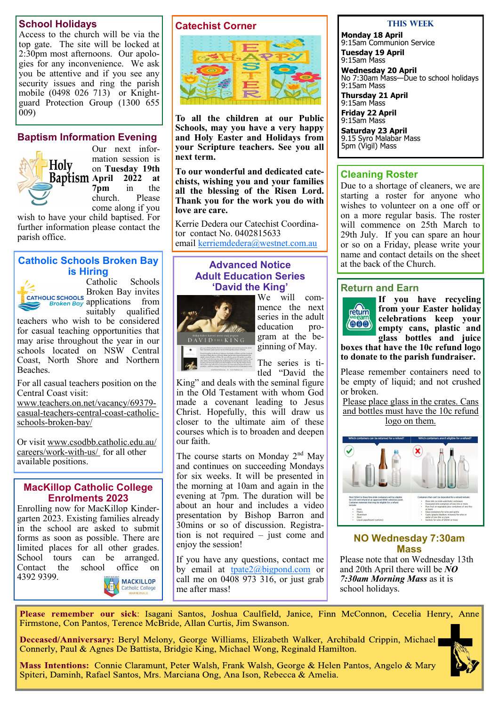#### **School Holidays**

Access to the church will be via the top gate. The site will be locked at 2:30pm most afternoons. Our apologies for any inconvenience. We ask you be attentive and if you see any security issues and ring the parish mobile (0498 026 713) or Knightguard Protection Group (1300 655 009)

#### **Baptism Information Evening**



Our next information session is on **Tuesday 19th Baptism April 2022 at**<br>**P** 7pm in the **7pm** in the church. Please church. come along if you

wish to have your child baptised. For further information please contact the parish office.

#### **Catholic Schools Broken Bay | Advanced Notice Schools Broken Bay | Advanced Notice Schools Broken Bay | Advanced Notice Schools Advanced Notice Schools Broken Bay |**  $\frac{1}{2}$  **at the back of the Church. is Hiring**



Catholic Schools Broken Bay invites **EXECUTES**<br>Broken Bay applications from<br>suitably qualified qualified

teachers who wish to be considered for casual teaching opportunities that may arise throughout the year in our schools located on NSW Central Coast, North Shore and Northern Beaches.

For all casual teachers position on the Central Coast visit:

www.teachers.on.net/vacancy/69379 casual-teachers-central-coast-catholicschools-broken-bay/

Or visit www.csodbb.catholic.edu.au/ careers/work-with-us/ for all other available positions.

#### **MacKillop Catholic College Enrolments 2023**

Enrolling now for MacKillop Kindergarten 2023. Existing families already in the school are asked to submit forms as soon as possible. There are limited places for all other grades. School tours can be arranged. Contact the school office on 4392 9399. **MACKILLOP** 



#### **Catechist Corner**



**To all the children at our Public Schools, may you have a very happy and Holy Easter and Holidays from your Scripture teachers. See you all next term.**

**To our wonderful and dedicated catechists, wishing you and your families all the blessing of the Risen Lord. Thank you for the work you do with love are care.**

Kerrie Dedera our Catechist Coordinator contact No. 0402815633 email [kerriemdedera@westnet.com.au](mailto:kerriemdedera@westnet.com.au)

#### **Advanced Notice Adult Education Series 'David the King'**



We will commence the next series in the adult education program at the beginning of May.

The series is titled "David the

King" and deals with the seminal figure in the Old Testament with whom God made a covenant leading to Jesus Christ. Hopefully, this will draw us closer to the ultimate aim of these courses which is to broaden and deepen our faith.

The course starts on Monday  $2<sup>nd</sup>$  May and continues on succeeding Mondays for six weeks. It will be presented in the morning at 10am and again in the evening at 7pm. The duration will be about an hour and includes a video presentation by Bishop Barron and 30mins or so of discussion. Registration is not required – just come and enjoy the session!

If you have any questions, contact me by email at [tpate2@bigpond.com](mailto:tpate2@bigpond.com) or call me on 0408 973 316, or just grab me after mass!

#### **This Week**

**Monday 18 April** 9:15am Communion Service

**Tuesday 19 April** 9:15am Mass **Wednesday 20 April**

No 7:30am Mass—Due to school holidays 9:15am Mass

**Thursday 21 April**  9:15am Mass

**Friday 22 April** 9:15am Mass

**Saturday 23 April** 9.15 Syro Malabar Mass 5pm (Vigil) Mass

#### **Cleaning Roster**

Due to a shortage of cleaners, we are starting a roster for anyone who wishes to volunteer on a one off or on a more regular basis. The roster will commence on 25th March to 29th July. If you can spare an hour or so on a Friday, please write your

#### **Return and Earn**



**If you have recycling from your Easter holiday celebrations keep your empty cans, plastic and glass bottles and juice** 

**boxes that have the 10c refund logo to donate to the parish fundraiser.**

Please remember containers need to be empty of liquid; and not crushed or broken.

Please place glass in the crates. Cans and bottles must have the 10c refund logo on them.



#### **NO Wednesday 7:30am Mass**

Please note that on Wednesday 13th and 20th April there will be *NO 7:30am Morning Mass* as it is school holidays.

Please remember our sick: Isagani Santos, Joshua Caulfield, Janice, Finn McConnon, Cecelia Henry, Anne Firmstone, Con Pantos, Terence McBride, Allan Curtis, Jim Swanson.

Deceased/Anniversary: Beryl Melony, George Williams, Elizabeth Walker, Archibald Crippin, Michael Connerly, Paul & Agnes De Battista, Bridgie King, Michael Wong, Reginald Hamilton.

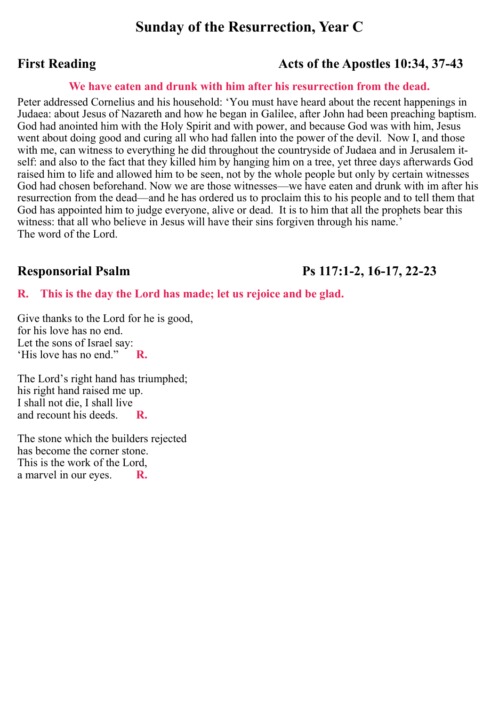# **Sunday of the Resurrection, Year C**

#### **First Reading Acts of the Apostles 10:34, 37-43**

#### **We have eaten and drunk with him after his resurrection from the dead.**

Peter addressed Cornelius and his household: 'You must have heard about the recent happenings in Judaea: about Jesus of Nazareth and how he began in Galilee, after John had been preaching baptism. God had anointed him with the Holy Spirit and with power, and because God was with him, Jesus went about doing good and curing all who had fallen into the power of the devil. Now I, and those with me, can witness to everything he did throughout the countryside of Judaea and in Jerusalem itself: and also to the fact that they killed him by hanging him on a tree, yet three days afterwards God raised him to life and allowed him to be seen, not by the whole people but only by certain witnesses God had chosen beforehand. Now we are those witnesses—we have eaten and drunk with im after his resurrection from the dead—and he has ordered us to proclaim this to his people and to tell them that God has appointed him to judge everyone, alive or dead. It is to him that all the prophets bear this witness: that all who believe in Jesus will have their sins forgiven through his name.' The word of the Lord.

**Responsorial Psalm Ps 117:1-2, 16-17, 22-23**

#### **R. This is the day the Lord has made; let us rejoice and be glad.**

Give thanks to the Lord for he is good, for his love has no end. Let the sons of Israel say: 'His love has no end." **R.**

The Lord's right hand has triumphed; his right hand raised me up. I shall not die, I shall live and recount his deeds. **R.**

The stone which the builders rejected has become the corner stone. This is the work of the Lord, a marvel in our eyes. **R.**